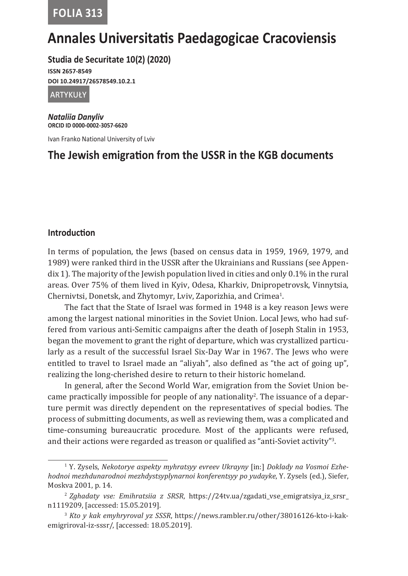**FOLIA 313**

# **Annales Universitatis Paedagogicae Cracoviensis**

**Studia de Securitate 10(2) (2020)**

**ISSN 2657-8549 DOI 10.24917/26578549.10.2.1**

artykuły

*Nataliia Danyliv* **ORCID ID 0000-0002-3057-6620**

Ivan Franko National University of Lviv

# **The Jewish emigration from the USSR in the KGB documents**

# **Introduction**

In terms of population, the Jews (based on census data in 1959, 1969, 1979, and 1989) were ranked third in the USSR after the Ukrainians and Russians (see Appendix 1). The majority of the Jewish population lived in cities and only 0.1% in the rural areas. Over 75% of them lived in Kyiv, Odesa, Kharkiv, Dnipropetrovsk, Vinnytsia, Chernivtsi, Donetsk, and Zhytomyr, Lviv, Zaporizhia, and Crimea<sup>1</sup>.

The fact that the State of Israel was formed in 1948 is a key reason Jews were among the largest national minorities in the Soviet Union. Local Jews, who had suffered from various anti-Semitic campaigns after the death of Joseph Stalin in 1953, began the movement to grant the right of departure, which was crystallized particularly as a result of the successful Israel Six-Day War in 1967. The Jews who were entitled to travel to Israel made an "aliyah", also defined as "the act of going up", realizing the long-cherished desire to return to their historic homeland.

In general, after the Second World War, emigration from the Soviet Union became practically impossible for people of any nationality<sup>2</sup>. The issuance of a departure permit was directly dependent on the representatives of special bodies. The process of submitting documents, as well as reviewing them, was a complicated and time-consuming bureaucratic procedure. Most of the applicants were refused, and their actions were regarded as treason or qualified as "anti-Soviet activity"3 .

<sup>1</sup> Y. Zysels, *Nekotorye aspekty myhratsyy evreev Ukrayny* [in:] *Doklady na Vosmoi Ezhehodnoi mezhdunarodnoi mezhdystsyplynarnoi konferentsyy po yudayke*, Y. Zysels (ed.), Siefer, Moskva 2001, p. 14.

<sup>2</sup>*Zghadaty vse: Emihratsiia z SRSR*, https://24tv.ua/zgadati\_vse\_emigratsiya\_iz\_srsr\_ n1119209, [accessed: 15.05.2019].

<sup>3</sup> *Kto y kak emyhryroval yz SSSR*, https://news.rambler.ru/other/38016126-kto-i-kakemigriroval-iz-sssr/, [accessed: 18.05.2019].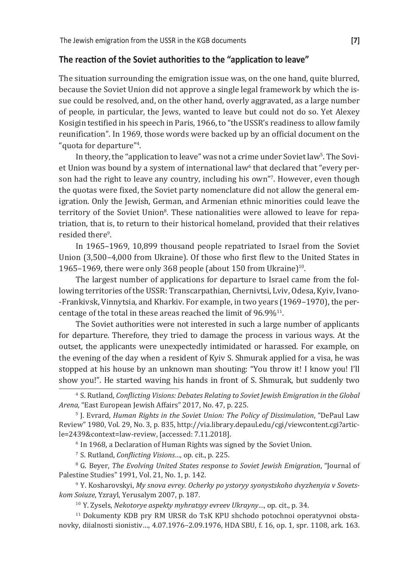# **The reaction of the Soviet authorities to the "application to leave"**

The situation surrounding the emigration issue was, on the one hand, quite blurred, because the Soviet Union did not approve a single legal framework by which the issue could be resolved, and, on the other hand, overly aggravated, as a large number of people, in particular, the Jews, wanted to leave but could not do so. Yet Alexey Kosigin testified in his speech in Paris, 1966, to "the USSR's readiness to allow family reunification". In 1969, those words were backed up by an official document on the "quota for departure<sup>"4</sup>.

In theory, the "application to leave" was not a crime under Soviet law<sup>5</sup>. The Soviet Union was bound by a system of international law® that declared that "every per<mark>-</mark> son had the right to leave any country, including his own"'. However, even though the quotas were fixed, the Soviet party nomenclature did not allow the general emigration. Only the Jewish, German, and Armenian ethnic minorities could leave the territory of the Soviet Union<sup>s</sup>. These nationalities were allowed to leave for repatriation, that is, to return to their historical homeland, provided that their relatives resided there<sup>9</sup>.

In 1965–1969, 10,899 thousand people repatriated to Israel from the Soviet Union (3,500–4,000 from Ukraine). Of those who first flew to the United States in 1965–1969, there were only 368 people (about 150 from Ukraine) $10$ .

The largest number of applications for departure to Israel came from the following territories of the USSR: Transcarpathian, Chernivtsi, Lviv, Odesa, Kyiv, Ivano- -Frankivsk, Vinnytsia, and Kharkiv. For example, in two years (1969–1970), the percentage of the total in these areas reached the limit of 96.9%11.

The Soviet authorities were not interested in such a large number of applicants for departure. Therefore, they tried to damage the process in various ways. At the outset, the applicants were unexpectedly intimidated or harassed. For example, on the evening of the day when a resident of Kyiv S. Shmurak applied for a visa, he was stopped at his house by an unknown man shouting: "You throw it! I know you! I'll show you!". He started waving his hands in front of S. Shmurak, but suddenly two

<sup>6</sup> In 1968, a Declaration of Human Rights was signed by the Soviet Union.

<sup>7</sup>S. Rutland, *Conflicting Visions…*, op. cit., p. 225.

<sup>8</sup>G. Beyer, *The Evolving United States response to Soviet Jewish Emigration*, "Journal of Palestine Studies" 1991, Vol. 21, No. 1, p. 142.

9 Y. Kosharovskyi, *My snova evrey. Ocherky po ystoryy syonystskoho dvyzhenyia v Sovetskom Soiuze*, Yzrayl, Yerusalym 2007, p. 187.

<sup>10</sup> Y. Zysels, *Nekotorye aspekty myhratsyy evreev Ukrayny...*, op. cit., p. 34.

11 Dokumenty KDB pry RM URSR do TsK KPU shchodo potochnoi operatyvnoi obstanovky, diialnosti sionistiv…, 4.07.1976–2.09.1976, HDA SBU, f. 16, op. 1, spr. 1108, ark. 163.

<sup>4</sup>S. Rutland, *Conflicting Visions: Debates Relating to Soviet Jewish Emigration in the Global Arena*, "East European Jewish Affairs" 2017, No. 47, p. 225.

<sup>&</sup>lt;sup>5</sup> J. Evrard, *Human Rights in the Soviet Union: The Policy of Dissimulation*, "DePaul Law Review" 1980, Vol. 29, No. 3, p. 835, http://via.library.depaul.edu/cgi/viewcontent.cgi?article=2439&context=law-review, [accessed: 7.11.2018].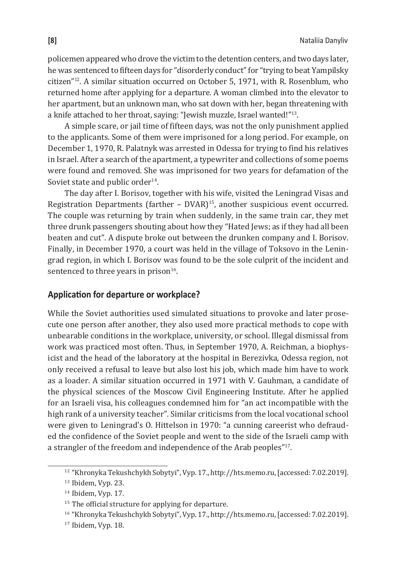policemen appeared who drove the victim to the detention centers, and two days later, he was sentenced to fifteen days for "disorderly conduct" for "trying to beat Yampilsky citizen"12. A similar situation occurred on October 5, 1971, with R. Rosenblum, who returned home after applying for a departure. A woman climbed into the elevator to her apartment, but an unknown man, who sat down with her, began threatening with a knife attached to her throat, saying: "Jewish muzzle, Israel wanted!"13.

A simple scare, or jail time of fifteen days, was not the only punishment applied to the applicants. Some of them were imprisoned for a long period. For example, on December 1, 1970, R. Palatnyk was arrested in Odessa for trying to find his relatives in Israel. After a search of the apartment, a typewriter and collections of some poems were found and removed. She was imprisoned for two years for defamation of the Soviet state and public order<sup>14</sup>.

The day after I. Borisov, together with his wife, visited the Leningrad Visas and Registration Departments (farther  $-$  DVAR)<sup>15</sup>, another suspicious event occurred. The couple was returning by train when suddenly, in the same train car, they met three drunk passengers shouting about how they "Hated Jews; as if they had all been beaten and cut". A dispute broke out between the drunken company and I. Borisov. Finally, in December 1970, a court was held in the village of Toksovo in the Leningrad region, in which I. Borisov was found to be the sole culprit of the incident and sentenced to three years in prison $16$ .

# **Application for departure or workplace?**

While the Soviet authorities used simulated situations to provoke and later prosecute one person after another, they also used more practical methods to cope with unbearable conditions in the workplace, university, or school. Illegal dismissal from work was practiced most often. Thus, in September 1970, A. Reichman, a biophysicist and the head of the laboratory at the hospital in Berezivka, Odessa region, not only received a refusal to leave but also lost his job, which made him have to work as a loader. A similar situation occurred in 1971 with V. Gauhman, a candidate of the physical sciences of the Moscow Civil Engineering Institute. After he applied for an Israeli visa, his colleagues condemned him for "an act incompatible with the high rank of a university teacher". Similar criticisms from the local vocational school were given to Leningrad's O. Hittelson in 1970: "a cunning careerist who defrauded the confidence of the Soviet people and went to the side of the Israeli camp with a strangler of the freedom and independence of the Arab peoples"<sup>17</sup>.

<sup>&</sup>lt;sup>12</sup> "Khronyka Tekushchykh Sobytyi", Vyp. 17., http://hts.memo.ru, [accessed: 7.02.2019].

 $13$  Ibidem, Vyp. 23.

 $14$  Ibidem, Vyp. 17.

<sup>&</sup>lt;sup>15</sup> The official structure for applying for departure.

<sup>16</sup>"Khronyka Tekushchykh Sobytyi", Vyp. 17., http://hts.memo.ru, [accessed: 7.02.2019].

<sup>17</sup> Ibidem, Vyp. 18.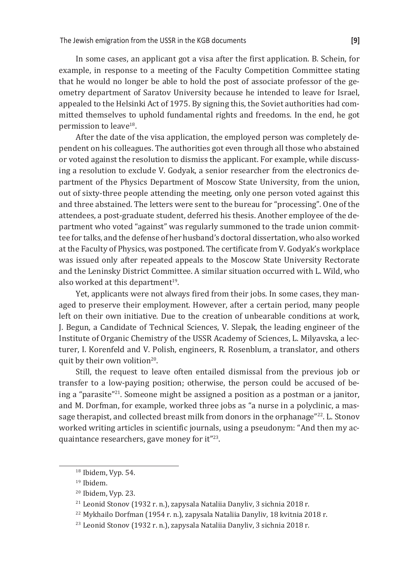In some cases, an applicant got a visa after the first application. B. Schein, for example, in response to a meeting of the Faculty Competition Committee stating that he would no longer be able to hold the post of associate professor of the geometry department of Saratov University because he intended to leave for Israel, appealed to the Helsinki Act of 1975. By signing this, the Soviet authorities had committed themselves to uphold fundamental rights and freedoms. In the end, he got permission to leave<sup>18</sup>.

After the date of the visa application, the employed person was completely dependent on his colleagues. The authorities got even through all those who abstained or voted against the resolution to dismiss the applicant. For example, while discussing a resolution to exclude V. Godyak, a senior researcher from the electronics department of the Physics Department of Moscow State University, from the union, out of sixty-three people attending the meeting, only one person voted against this and three abstained. The letters were sent to the bureau for "processing". One of the attendees, a post-graduate student, deferred his thesis. Another employee of the department who voted "against" was regularly summoned to the trade union committee for talks, and the defense of her husband's doctoral dissertation, who also worked at the Faculty of Physics, was postponed. The certificate from V. Godyak's workplace was issued only after repeated appeals to the Moscow State University Rectorate and the Leninsky District Committee. A similar situation occurred with L. Wild, who also worked at this department<sup>19</sup>.

Yet, applicants were not always fired from their jobs. In some cases, they managed to preserve their employment. However, after a certain period, many people left on their own initiative. Due to the creation of unbearable conditions at work, J. Begun, a Candidate of Technical Sciences, V. Slepak, the leading engineer of the Institute of Organic Chemistry of the USSR Academy of Sciences, L. Milyavska, a lecturer, I. Korenfeld and V. Polish, engineers, R. Rosenblum, a translator, and others quit by their own volition<sup>20</sup>.

Still, the request to leave often entailed dismissal from the previous job or transfer to a low-paying position; otherwise, the person could be accused of being a "parasite"21. Someone might be assigned a position as a postman or a janitor, and M. Dorfman, for example, worked three jobs as "a nurse in a polyclinic, a massage therapist, and collected breast milk from donors in the orphanage"22. L. Stonov worked writing articles in scientific journals, using a pseudonym: "And then my acquaintance researchers, gave money for it"23.

<sup>&</sup>lt;sup>18</sup> Ibidem, Vyp. 54.

 $19$  Ibidem.

<sup>&</sup>lt;sup>20</sup> Ibidem, Vyp. 23.

<sup>&</sup>lt;sup>21</sup> Leonid Stonov (1932 r. n.), zapysala Nataliia Danyliv, 3 sichnia 2018 r.

<sup>&</sup>lt;sup>22</sup> Mykhailo Dorfman (1954 r. n.), zapysala Nataliia Danyliv, 18 kvitnia 2018 r.

<sup>23</sup> Leonid Stonov (1932 r. n.), zapysala Nataliia Danyliv, 3 sichnia 2018 r.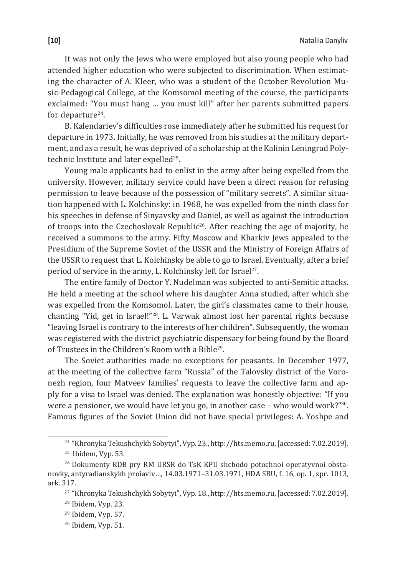It was not only the Jews who were employed but also young people who had attended higher education who were subjected to discrimination. When estimating the character of A. Kleer, who was a student of the October Revolution Music-Pedagogical College, at the Komsomol meeting of the course, the participants exclaimed: "You must hang … you must kill" after her parents submitted papers for departure $24$ .

B. Kalendariev's difficulties rose immediately after he submitted his request for departure in 1973. Initially, he was removed from his studies at the military department, and as a result, he was deprived of a scholarship at the Kalinin Leningrad Polytechnic Institute and later expelled<sup>25</sup>.

Young male applicants had to enlist in the army after being expelled from the university. However, military service could have been a direct reason for refusing permission to leave because of the possession of "military secrets". A similar situation happened with L. Kolchinsky: in 1968, he was expelled from the ninth class for his speeches in defense of Sinyavsky and Daniel, as well as against the introduction of troops into the Czechoslovak Republic<sup>26</sup>. After reaching the age of majority, he received a summons to the army. Fifty Moscow and Kharkiv Jews appealed to the Presidium of the Supreme Soviet of the USSR and the Ministry of Foreign Affairs of the USSR to request that L. Kolchinsky be able to go to Israel. Eventually, after a brief period of service in the army, L. Kolchinsky left for Israel<sup>27</sup>.

The entire family of Doctor Y. Nudelman was subjected to anti-Semitic attacks. He held a meeting at the school where his daughter Anna studied, after which she was expelled from the Komsomol. Later, the girl's classmates came to their house, chanting "Yid, get in Israel!"28. L. Varwak almost lost her parental rights because "leaving Israel is contrary to the interests of her children". Subsequently, the woman was registered with the district psychiatric dispensary for being found by the Board of Trustees in the Children's Room with a Bible29.

The Soviet authorities made no exceptions for peasants. In December 1977, at the meeting of the collective farm "Russia" of the Talovsky district of the Voronezh region, four Matveev families' requests to leave the collective farm and apply for a visa to Israel was denied. The explanation was honestly objective: "If you were a pensioner, we would have let you go, in another case – who would work?"30. Famous figures of the Soviet Union did not have special privileges: A. Yoshpe and

30 Ibidem, Vyp. 51.

<sup>&</sup>lt;sup>24</sup> "Khronyka Tekushchykh Sobytyi", Vyp. 23., http://hts.memo.ru, [accessed: 7.02.2019].

 $25$  Ibidem, Vyp. 53.

<sup>26</sup> Dokumenty KDB pry RM URSR do TsK KPU shchodo potochnoi operatyvnoi obstanovky, antyradianskykh proiaviv…, 14.03.1971–31.03.1971, HDA SBU, f. 16, op. 1, spr. 1013, ark. 317.

<sup>&</sup>lt;sup>27</sup> "Khronyka Tekushchykh Sobytyi", Vyp. 18., http://hts.memo.ru, [accessed: 7.02.2019].

<sup>&</sup>lt;sup>28</sup> Ibidem, Vyp. 23.

 $29$  Ibidem, Vyp. 57.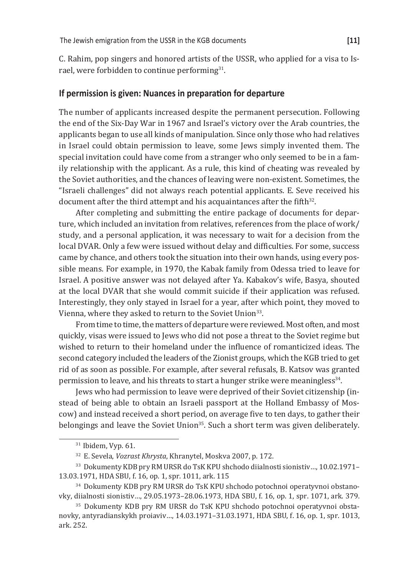C. Rahim, pop singers and honored artists of the USSR, who applied for a visa to Israel, were forbidden to continue performing<sup>31</sup>.

# **If permission is given: Nuances in preparation for departure**

The number of applicants increased despite the permanent persecution. Following the end of the Six-Day War in 1967 and Israel's victory over the Arab countries, the applicants began to use all kinds of manipulation. Since only those who had relatives in Israel could obtain permission to leave, some Jews simply invented them. The special invitation could have come from a stranger who only seemed to be in a family relationship with the applicant. As a rule, this kind of cheating was revealed by the Soviet authorities, and the chances of leaving were non-existent. Sometimes, the "Israeli challenges" did not always reach potential applicants. E. Seve received his document after the third attempt and his acquaintances after the fifth $32$ .

After completing and submitting the entire package of documents for departure, which included an invitation from relatives, references from the place of work/ study, and a personal application, it was necessary to wait for a decision from the local DVAR. Only a few were issued without delay and difficulties. For some, success came by chance, and others took the situation into their own hands, using every possible means. For example, in 1970, the Kabak family from Odessa tried to leave for Israel. A positive answer was not delayed after Ya. Kabakov's wife, Basya, shouted at the local DVAR that she would commit suicide if their application was refused. Interestingly, they only stayed in Israel for a year, after which point, they moved to Vienna, where they asked to return to the Soviet Union<sup>33</sup>.

From time to time, the matters of departure were reviewed. Most often, and most quickly, visas were issued to Jews who did not pose a threat to the Soviet regime but wished to return to their homeland under the influence of romanticized ideas. The second category included the leaders of the Zionist groups, which the KGB tried to get rid of as soon as possible. For example, after several refusals, B. Katsov was granted permission to leave, and his threats to start a hunger strike were meaningless<sup>34</sup>.

Jews who had permission to leave were deprived of their Soviet citizenship (instead of being able to obtain an Israeli passport at the Holland Embassy of Moscow) and instead received a short period, on average five to ten days, to gather their belongings and leave the Soviet Union<sup>35</sup>. Such a short term was given deliberately.

 $31$  Ibidem, Vyp. 61.

<sup>32</sup>E. Sevela, *Vozrast Khrysta*, Khranytel, Moskva 2007, p. 172.

<sup>&</sup>lt;sup>33</sup> Dokumenty KDB pry RM URSR do TsK KPU shchodo diialnosti sionistiv..., 10.02.1971-13.03.1971, HDA SBU, f. 16, op. 1, spr. 1011, ark. 115

<sup>34</sup> Dokumenty KDB pry RM URSR do TsK KPU shchodo potochnoi operatyvnoi obstanovky, diialnosti sionistiv…, 29.05.1973–28.06.1973, HDA SBU, f. 16, op. 1, spr. 1071, ark. 379.

<sup>35</sup> Dokumenty KDB pry RM URSR do TsK KPU shchodo potochnoi operatyvnoi obstanovky, antyradianskykh proiaviv…, 14.03.1971–31.03.1971, HDA SBU, f. 16, op. 1, spr. 1013, ark. 252.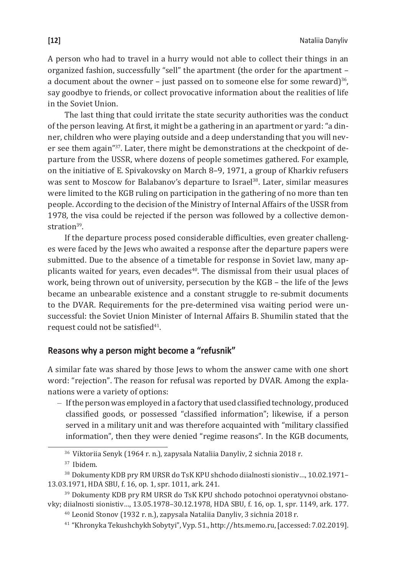A person who had to travel in a hurry would not able to collect their things in an organized fashion, successfully "sell" the apartment (the order for the apartment – a document about the owner – just passed on to someone else for some reward)<sup>36</sup>, say goodbye to friends, or collect provocative information about the realities of life in the Soviet Union.

The last thing that could irritate the state security authorities was the conduct of the person leaving. At first, it might be a gathering in an apartment or yard: "a dinner, children who were playing outside and a deep understanding that you will never see them again"37. Later, there might be demonstrations at the checkpoint of departure from the USSR, where dozens of people sometimes gathered. For example, on the initiative of E. Spivakovsky on March 8–9, 1971, a group of Kharkiv refusers was sent to Moscow for Balabanov's departure to Israel<sup>38</sup>. Later, similar measures were limited to the KGB ruling on participation in the gathering of no more than ten people. According to the decision of the Ministry of Internal Affairs of the USSR from 1978, the visa could be rejected if the person was followed by a collective demonstration<sup>39</sup>.

If the departure process posed considerable difficulties, even greater challenges were faced by the Jews who awaited a response after the departure papers were submitted. Due to the absence of a timetable for response in Soviet law, many applicants waited for years, even decades $40$ . The dismissal from their usual places of work, being thrown out of university, persecution by the KGB – the life of the Jews became an unbearable existence and a constant struggle to re-submit documents to the DVAR. Requirements for the pre-determined visa waiting period were unsuccessful: the Soviet Union Minister of Internal Affairs B. Shumilin stated that the request could not be satisfied<sup>41</sup>.

# **Reasons why a person might become a "refusnik"**

A similar fate was shared by those Jews to whom the answer came with one short word: "rejection". The reason for refusal was reported by DVAR. Among the explanations were a variety of options:

– If the person was employed in a factory that used classified technology, produced classified goods, or possessed "classified information"; likewise, if a person served in a military unit and was therefore acquainted with "military classified information", then they were denied "regime reasons". In the KGB documents,

41 "Khronyka Tekushchykh Sobytyi", Vyp. 51., http://hts.memo.ru, [accessed: 7.02.2019].

<sup>&</sup>lt;sup>36</sup> Viktoriia Senyk (1964 r. n.), zapysala Nataliia Danyliv, 2 sichnia 2018 r.

<sup>&</sup>lt;sup>37</sup> Ibidem.

<sup>&</sup>lt;sup>38</sup> Dokumenty KDB pry RM URSR do TsK KPU shchodo diialnosti sionistiv..., 10.02.1971-13.03.1971, HDA SBU, f. 16, op. 1, spr. 1011, ark. 241.

<sup>39</sup> Dokumenty KDB pry RM URSR do TsK KPU shchodo potochnoi operatyvnoi obstanovky; diialnosti sionistiv…, 13.05.1978–30.12.1978, HDA SBU, f. 16, op. 1, spr. 1149, ark. 177. <sup>40</sup>Leonid Stonov (1932 r. n.), zapysala Nataliia Danyliv, 3 sichnia 2018 r.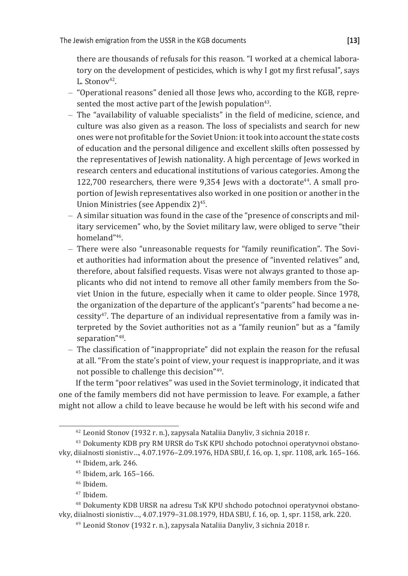there are thousands of refusals for this reason. "I worked at a chemical laboratory on the development of pesticides, which is why I got my first refusal", says L. Stonov<sup>42</sup>.

- "Operational reasons" denied all those Jews who, according to the KGB, represented the most active part of the Jewish population<sup>43</sup>.
- The "availability of valuable specialists" in the field of medicine, science, and culture was also given as a reason. The loss of specialists and search for new ones were not profitable for the Soviet Union: it took into account the state costs of education and the personal diligence and excellent skills often possessed by the representatives of Jewish nationality. A high percentage of Jews worked in research centers and educational institutions of various categories. Among the  $122,700$  researchers, there were  $9,354$  Jews with a doctorate<sup>44</sup>. A small proportion of Jewish representatives also worked in one position or another in the Union Ministries (see Appendix 2)45.
- A similar situation was found in the case of the "presence of conscripts and military servicemen" who, by the Soviet military law, were obliged to serve "their homeland"46.
- There were also "unreasonable requests for "family reunification". The Soviet authorities had information about the presence of "invented relatives" and, therefore, about falsified requests. Visas were not always granted to those applicants who did not intend to remove all other family members from the Soviet Union in the future, especially when it came to older people. Since 1978, the organization of the departure of the applicant's "parents" had become a ne- $\text{cessit}y^{47}$ . The departure of an individual representative from a family was interpreted by the Soviet authorities not as a "family reunion" but as a "family separation"48.
- The classification of "inappropriate" did not explain the reason for the refusal at all. "From the state's point of view, your request is inappropriate, and it was not possible to challenge this decision"49.

If the term "poor relatives" was used in the Soviet terminology, it indicated that one of the family members did not have permission to leave. For example, a father might not allow a child to leave because he would be left with his second wife and

<sup>47</sup> Ibidem.

48 Dokumenty KDB URSR na adresu TsK KPU shchodo potochnoi operatyvnoi obstanovky, diialnosti sionistiv…, 4.07.1979–31.08.1979, HDA SBU, f. 16, op. 1, spr. 1158, ark. 220.

<sup>42</sup>Leonid Stonov (1932 r. n.), zapysala Nataliia Danyliv, 3 sichnia 2018 r.

<sup>43</sup> Dokumenty KDB pry RM URSR do TsK KPU shchodo potochnoi operatyvnoi obstanovky, diialnosti sionistiv…, 4.07.1976–2.09.1976, HDA SBU, f. 16, op. 1, spr. 1108, ark. 165–166.

<sup>44</sup>Ibidem, ark. 246.

<sup>&</sup>lt;sup>45</sup> Ibidem, ark. 165-166.

<sup>&</sup>lt;sup>46</sup> Ibidem.

<sup>49</sup> Leonid Stonov (1932 r. n.), zapysala Nataliia Danyliv, 3 sichnia 2018 r.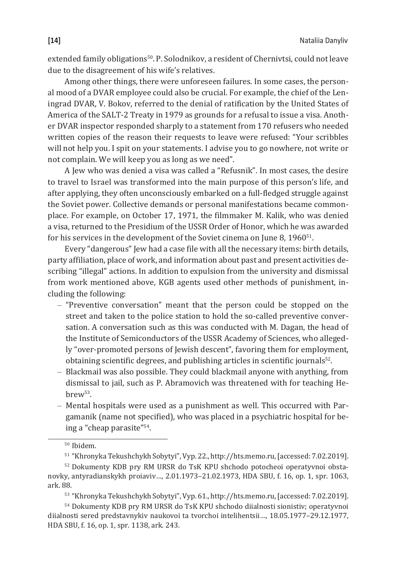extended family obligations<sup>50</sup>. P. Solodnikov, a resident of Chernivtsi, could not leave due to the disagreement of his wife's relatives.

Among other things, there were unforeseen failures. In some cases, the personal mood of a DVAR employee could also be crucial. For example, the chief of the Leningrad DVAR, V. Bokov, referred to the denial of ratification by the United States of America of the SALT-2 Treaty in 1979 as grounds for a refusal to issue a visa. Another DVAR inspector responded sharply to a statement from 170 refusers who needed written copies of the reason their requests to leave were refused: "Your scribbles will not help you. I spit on your statements. I advise you to go nowhere, not write or not complain. We will keep you as long as we need".

A Jew who was denied a visa was called a "Refusnik". In most cases, the desire to travel to Israel was transformed into the main purpose of this person's life, and after applying, they often unconsciously embarked on a full-fledged struggle against the Soviet power. Collective demands or personal manifestations became commonplace. For example, on October 17, 1971, the filmmaker M. Kalik, who was denied a visa, returned to the Presidium of the USSR Order of Honor, which he was awarded for his services in the development of the Soviet cinema on June 8, 1960<sup>51</sup>.

Every "dangerous" Jew had a case file with all the necessary items: birth details, party affiliation, place of work, and information about past and present activities describing "illegal" actions. In addition to expulsion from the university and dismissal from work mentioned above, KGB agents used other methods of punishment, including the following:

- "Preventive conversation" meant that the person could be stopped on the street and taken to the police station to hold the so-called preventive conversation. A conversation such as this was conducted with M. Dagan, the head of the Institute of Semiconductors of the USSR Academy of Sciences, who allegedly "over-promoted persons of Jewish descent", favoring them for employment, obtaining scientific degrees, and publishing articles in scientific journals<sup>52</sup>.
- Blackmail was also possible. They could blackmail anyone with anything, from dismissal to jail, such as P. Abramovich was threatened with for teaching Hebrew53.
- Mental hospitals were used as a punishment as well. This occurred with Pargamanik (name not specified), who was placed in a psychiatric hospital for being a "cheap parasite"54.

<sup>&</sup>lt;sup>50</sup> Ibidem.

<sup>51</sup>"Khronyka Tekushchykh Sobytyi", Vyp. 22., http://hts.memo.ru, [accessed: 7.02.2019].

<sup>52</sup> Dokumenty KDB pry RM URSR do TsK KPU shchodo potocheoi operatyvnoi obstanovky, antyradianskykh proiaviv…, 2.01.1973–21.02.1973, HDA SBU, f. 16, op. 1, spr. 1063, ark. 88.

<sup>53</sup>"Khronyka Tekushchykh Sobytyi", Vyp. 61., http://hts.memo.ru, [accessed: 7.02.2019].

<sup>&</sup>lt;sup>54</sup> Dokumenty KDB pry RM URSR do TsK KPU shchodo diialnosti sionistiv; operatyvnoi diialnosti sered predstavnykiv naukovoi ta tvorchoi intelihentsii…, 18.05.1977–29.12.1977, HDA SBU, f. 16, op. 1, spr. 1138, ark. 243.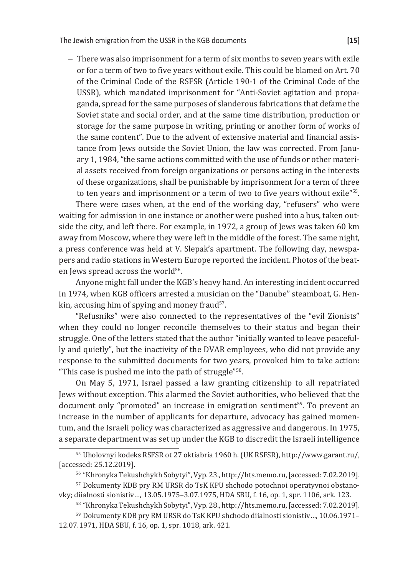– There was also imprisonment for a term of six months to seven years with exile or for a term of two to five years without exile. This could be blamed on Art. 70 of the Criminal Code of the RSFSR (Article 190-1 of the Criminal Code of the USSR), which mandated imprisonment for "Anti-Soviet agitation and propaganda, spread for the same purposes of slanderous fabrications that defame the Soviet state and social order, and at the same time distribution, production or storage for the same purpose in writing, printing or another form of works of the same content". Due to the advent of extensive material and financial assistance from Jews outside the Soviet Union, the law was corrected. From January 1, 1984, "the same actions committed with the use of funds or other material assets received from foreign organizations or persons acting in the interests of these organizations, shall be punishable by imprisonment for a term of three to ten years and imprisonment or a term of two to five years without exile"<sup>55</sup>.

There were cases when, at the end of the working day, "refusers" who were waiting for admission in one instance or another were pushed into a bus, taken outside the city, and left there. For example, in 1972, a group of Jews was taken 60 km away from Moscow, where they were left in the middle of the forest. The same night, a press conference was held at V. Slepak's apartment. The following day, newspapers and radio stations in Western Europe reported the incident. Photos of the beaten Jews spread across the world<sup>56</sup>.

Anyone might fall under the KGB's heavy hand. An interesting incident occurred in 1974, when KGB officers arrested a musician on the "Danube" steamboat, G. Henkin, accusing him of spying and money fraud<sup>57</sup>.

"Refusniks" were also connected to the representatives of the "evil Zionists" when they could no longer reconcile themselves to their status and began their struggle. One of the letters stated that the author "initially wanted to leave peacefully and quietly", but the inactivity of the DVAR employees, who did not provide any response to the submitted documents for two years, provoked him to take action: "This case is pushed me into the path of struggle"58.

On May 5, 1971, Israel passed a law granting citizenship to all repatriated Jews without exception. This alarmed the Soviet authorities, who believed that the document only "promoted" an increase in emigration sentiment<sup>59</sup>. To prevent an increase in the number of applicants for departure, advocacy has gained momentum, and the Israeli policy was characterized as aggressive and dangerous. In 1975, a separate department was set up under the KGB to discredit the Israeli intelligence

<sup>&</sup>lt;sup>55</sup> Uholovnyi kodeks RSFSR ot 27 oktiabria 1960 h. (UK RSFSR), http://www.garant.ru/, [accessed: 25.12.2019].

<sup>56</sup>"Khronyka Tekushchykh Sobytyi", Vyp. 23., http://hts.memo.ru, [accessed: 7.02.2019].

<sup>57</sup> Dokumenty KDB pry RM URSR do TsK KPU shchodo potochnoi operatyvnoi obstanovky; diialnosti sionistiv…, 13.05.1975–3.07.1975, HDA SBU, f. 16, op. 1, spr. 1106, ark. 123.

<sup>58</sup>"Khronyka Tekushchykh Sobytyi", Vyp. 28., http://hts.memo.ru, [accessed: 7.02.2019].

<sup>&</sup>lt;sup>59</sup> Dokumenty KDB pry RM URSR do TsK KPU shchodo diialnosti sionistiv..., 10.06.1971-12.07.1971, HDA SBU, f. 16, op. 1, spr. 1018, ark. 421.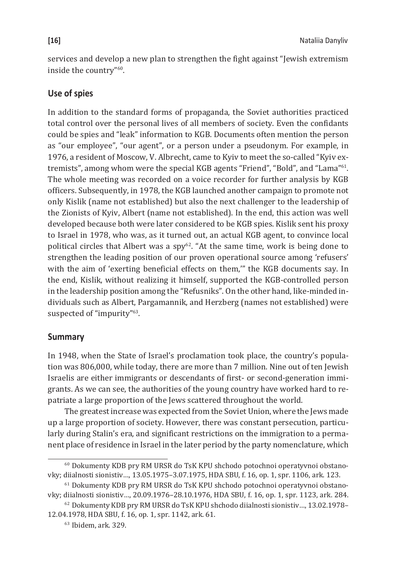services and develop a new plan to strengthen the fight against "Jewish extremism inside the country"60.

# **Use of spies**

In addition to the standard forms of propaganda, the Soviet authorities practiced total control over the personal lives of all members of society. Even the confidants could be spies and "leak" information to KGB. Documents often mention the person as "our employee", "our agent", or a person under a pseudonym. For example, in 1976, a resident of Moscow, V. Albrecht, came to Kyiv to meet the so-called "Kyiv extremists", among whom were the special KGB agents "Friend", "Bold", and "Lama"61. The whole meeting was recorded on a voice recorder for further analysis by KGB officers. Subsequently, in 1978, the KGB launched another campaign to promote not only Kislik (name not established) but also the next challenger to the leadership of the Zionists of Kyiv, Albert (name not established). In the end, this action was well developed because both were later considered to be KGB spies. Kislik sent his proxy to Israel in 1978, who was, as it turned out, an actual KGB agent, to convince local political circles that Albert was a  $spy^{62}$ . "At the same time, work is being done to strengthen the leading position of our proven operational source among 'refusers' with the aim of 'exerting beneficial effects on them,'" the KGB documents say. In the end, Kislik, without realizing it himself, supported the KGB-controlled person in the leadership position among the "Refusniks". On the other hand, like-minded individuals such as Albert, Pargamannik, and Herzberg (names not established) were suspected of "impurity"<sup>63</sup>.

# **Summary**

In 1948, when the State of Israel's proclamation took place, the country's population was 806,000, while today, there are more than 7 million. Nine out of ten Jewish Israelis are either immigrants or descendants of first- or second-generation immigrants. As we can see, the authorities of the young country have worked hard to repatriate a large proportion of the Jews scattered throughout the world.

The greatest increase was expected from the Soviet Union, where the Jews made up a large proportion of society. However, there was constant persecution, particularly during Stalin's era, and significant restrictions on the immigration to a permanent place of residence in Israel in the later period by the party nomenclature, which

<sup>60</sup> Dokumenty KDB pry RM URSR do TsK KPU shchodo potochnoi operatyvnoi obstanovky; diialnosti sionistiv…, 13.05.1975–3.07.1975, HDA SBU, f. 16, op. 1, spr. 1106, ark. 123.

<sup>61</sup> Dokumenty KDB pry RM URSR do TsK KPU shchodo potochnoi operatyvnoi obstanovky; diialnosti sionistiv…, 20.09.1976–28.10.1976, HDA SBU, f. 16, op. 1, spr. 1123, ark. 284.

<sup>&</sup>lt;sup>62</sup> Dokumenty KDB pry RM URSR do TsK KPU shchodo diialnosti sionistiv..., 13.02.1978-12.04.1978, HDA SBU, f. 16, op. 1, spr. 1142, ark. 61.

<sup>63</sup> Ibidem, ark. 329.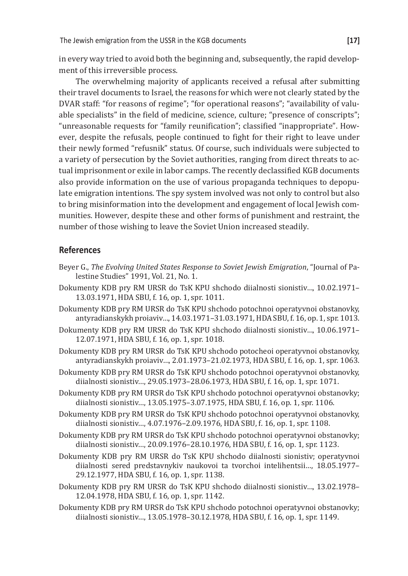in every way tried to avoid both the beginning and, subsequently, the rapid development of this irreversible process.

The overwhelming majority of applicants received a refusal after submitting their travel documents to Israel, the reasons for which were not clearly stated by the DVAR staff: "for reasons of regime"; "for operational reasons"; "availability of valuable specialists" in the field of medicine, science, culture; "presence of conscripts"; "unreasonable requests for "family reunification"; classified "inappropriate". However, despite the refusals, people continued to fight for their right to leave under their newly formed "refusnik" status. Of course, such individuals were subjected to a variety of persecution by the Soviet authorities, ranging from direct threats to actual imprisonment or exile in labor camps. The recently declassified KGB documents also provide information on the use of various propaganda techniques to depopulate emigration intentions. The spy system involved was not only to control but also to bring misinformation into the development and engagement of local Jewish communities. However, despite these and other forms of punishment and restraint, the number of those wishing to leave the Soviet Union increased steadily.

# **References**

- Beyer G., *The Evolving United States Response to Soviet Jewish Emigration*, "Journal of Palestine Studies" 1991, Vol. 21, No. 1.
- Dokumenty KDB pry RM URSR do TsK KPU shchodo diialnosti sionistiv…, 10.02.1971– 13.03.1971, HDA SBU, f. 16, op. 1, spr. 1011.
- Dokumenty KDB pry RM URSR do TsK KPU shchodo potochnoi operatyvnoi obstanovky, antyradianskykh proiaviv…, 14.03.1971–31.03.1971, HDA SBU, f. 16, op. 1, spr. 1013.
- Dokumenty KDB pry RM URSR do TsK KPU shchodo diialnosti sionistiv…, 10.06.1971– 12.07.1971, HDA SBU, f. 16, op. 1, spr. 1018.
- Dokumenty KDB pry RM URSR do TsK KPU shchodo potocheoi operatyvnoi obstanovky, antyradianskykh proiaviv…, 2.01.1973–21.02.1973, HDA SBU, f. 16, op. 1, spr. 1063.
- Dokumenty KDB pry RM URSR do TsK KPU shchodo potochnoi operatyvnoi obstanovky, diialnosti sionistiv…, 29.05.1973–28.06.1973, HDA SBU, f. 16, op. 1, spr. 1071.
- Dokumenty KDB pry RM URSR do TsK KPU shchodo potochnoi operatyvnoi obstanovky; diialnosti sionistiv…, 13.05.1975–3.07.1975, HDA SBU, f. 16, op. 1, spr. 1106.
- Dokumenty KDB pry RM URSR do TsK KPU shchodo potochnoi operatyvnoi obstanovky, diialnosti sionistiv…, 4.07.1976–2.09.1976, HDA SBU, f. 16, op. 1, spr. 1108.
- Dokumenty KDB pry RM URSR do TsK KPU shchodo potochnoi operatyvnoi obstanovky; diialnosti sionistiv…, 20.09.1976–28.10.1976, HDA SBU, f. 16, op. 1, spr. 1123.
- Dokumenty KDB pry RM URSR do TsK KPU shchodo diialnosti sionistiv; operatyvnoi diialnosti sered predstavnykiv naukovoi ta tvorchoi intelihentsii…, 18.05.1977– 29.12.1977, HDA SBU, f. 16, op. 1, spr. 1138.
- Dokumenty KDB pry RM URSR do TsK KPU shchodo diialnosti sionistiv…, 13.02.1978– 12.04.1978, HDA SBU, f. 16, op. 1, spr. 1142.
- Dokumenty KDB pry RM URSR do TsK KPU shchodo potochnoi operatyvnoi obstanovky; diialnosti sionistiv…, 13.05.1978–30.12.1978, HDA SBU, f. 16, op. 1, spr. 1149.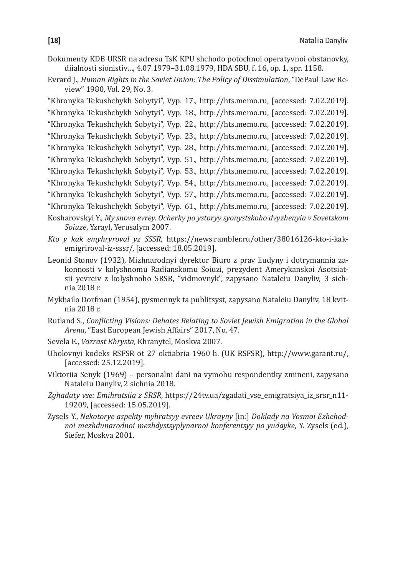- Dokumenty KDB URSR na adresu TsK KPU shchodo potochnoi operatyvnoi obstanovky, diialnosti sionistiv…, 4.07.1979–31.08.1979, HDA SBU, f. 16, op. 1, spr. 1158.
- Evrard J., *Human Rights in the Soviet Union: The Policy of Dissimulation*, "DePaul Law Review" 1980, Vol. 29, No. 3.
- "Khronyka Tekushchykh Sobytyi", Vyp. 17., http://hts.memo.ru, [accessed: 7.02.2019]. "Khronyka Tekushchykh Sobytyi", Vyp. 18., http://hts.memo.ru, [accessed: 7.02.2019]. "Khronyka Tekushchykh Sobytyi", Vyp. 22., http://hts.memo.ru, [accessed: 7.02.2019]. "Khronyka Tekushchykh Sobytyi", Vyp. 23., http://hts.memo.ru, [accessed: 7.02.2019]. "Khronyka Tekushchykh Sobytyi", Vyp. 28., http://hts.memo.ru, [accessed: 7.02.2019]. "Khronyka Tekushchykh Sobytyi", Vyp. 51., http://hts.memo.ru, [accessed: 7.02.2019]. "Khronyka Tekushchykh Sobytyi", Vyp. 53., http://hts.memo.ru, [accessed: 7.02.2019]. "Khronyka Tekushchykh Sobytyi", Vyp. 54., http://hts.memo.ru, [accessed: 7.02.2019]. "Khronyka Tekushchykh Sobytyi", Vyp. 57., http://hts.memo.ru, [accessed: 7.02.2019]. "Khronyka Tekushchykh Sobytyi", Vyp. 61., http://hts.memo.ru, [accessed: 7.02.2019].
- Kosharovskyi Y., *My snova evrey. Ocherky po ystoryy syonystskoho dvyzhenyia v Sovetskom Soiuze*, Yzrayl, Yerusalym 2007.
- *Kto y kak emyhryroval yz SSSR*, https://news.rambler.ru/other/38016126-kto-i-kakemigriroval-iz-sssr/, [accessed: 18.05.2019].
- Leonid Stonov (1932), Mizhnarodnyi dyrektor Biuro z prav liudyny i dotrymannia zakonnosti v kolyshnomu Radianskomu Soiuzi, prezydent Amerykanskoi Asotsiatsii yevreiv z kolyshnoho SRSR, "vidmovnyk", zapysano Nataleiu Danyliv, 3 sichnia 2018 r.
- Mykhailo Dorfman (1954), pysmennyk ta publitsyst, zapysano Nataleiu Danyliv, 18 kvitnia 2018 r.
- Rutland S., *Conflicting Visions: Debates Relating to Soviet Jewish Emigration in the Global Arena*, "East European Jewish Affairs" 2017, No. 47.
- Sevela E., *Vozrast Khrysta*, Khranytel, Moskva 2007.
- Uholovnyi kodeks RSFSR ot 27 oktiabria 1960 h. (UK RSFSR), http://www.garant.ru/, [accessed: 25.12.2019].
- Viktoriia Senyk (1969) personalni dani na vymohu respondentky zmineni, zapysano Nataleiu Danyliv, 2 sichnia 2018.
- *Zghadaty vse: Emihratsiia z SRSR*, https://24tv.ua/zgadati\_vse\_emigratsiya\_iz\_srsr\_n11- 19209, [accessed: 15.05.2019].
- Zysels Y., *Nekotorye aspekty myhratsyy evreev Ukrayny* [in:] *Doklady na Vosmoi Ezhehodnoi mezhdunarodnoi mezhdystsyplynarnoi konferentsyy po yudayke*, Y. Zysels (ed.), Siefer, Moskva 2001.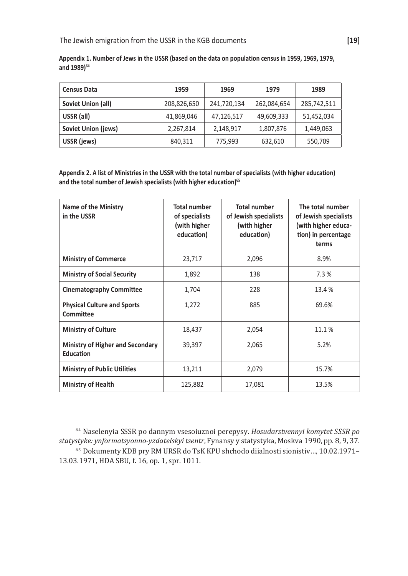| <b>Census Data</b>  | 1959        | 1969        | 1979        | 1989        |
|---------------------|-------------|-------------|-------------|-------------|
| Soviet Union (all)  | 208,826,650 | 241,720,134 | 262,084,654 | 285,742,511 |
| USSR (all)          | 41,869,046  | 47,126,517  | 49,609,333  | 51,452,034  |
| Soviet Union (jews) | 2,267,814   | 2,148,917   | 1,807,876   | 1,449,063   |
| USSR (jews)         | 840,311     | 775,993     | 632,610     | 550,709     |

**Appendix 1. Number of Jews in the USSR (based on the data on population census in 1959, 1969, 1979, and 1989)<sup>64</sup>**

**Appendix 2. A list of Ministries in the USSR with the total number of specialists (with higher education) and the total number of Jewish specialists (with higher education)<sup>65</sup>**

| Name of the Ministry<br>in the USSR                  | <b>Total number</b><br>of specialists<br>(with higher<br>education) | <b>Total number</b><br>of Jewish specialists<br>(with higher<br>education) | The total number<br>of Jewish specialists<br>(with higher educa-<br>tion) in percentage<br>terms |
|------------------------------------------------------|---------------------------------------------------------------------|----------------------------------------------------------------------------|--------------------------------------------------------------------------------------------------|
| <b>Ministry of Commerce</b>                          | 23,717                                                              | 2,096                                                                      | 8.9%                                                                                             |
| <b>Ministry of Social Security</b>                   | 1,892                                                               | 138                                                                        | 7.3%                                                                                             |
| <b>Cinematography Committee</b>                      | 1,704                                                               | 228                                                                        | 13.4 %                                                                                           |
| <b>Physical Culture and Sports</b><br>Committee      | 1,272                                                               | 885                                                                        | 69.6%                                                                                            |
| <b>Ministry of Culture</b>                           | 18,437                                                              | 2,054                                                                      | 11.1%                                                                                            |
| <b>Ministry of Higher and Secondary</b><br>Education | 39,397                                                              | 2,065                                                                      | 5.2%                                                                                             |
| <b>Ministry of Public Utilities</b>                  | 13,211                                                              | 2,079                                                                      | 15.7%                                                                                            |
| <b>Ministry of Health</b>                            | 125,882                                                             | 17,081                                                                     | 13.5%                                                                                            |

<sup>64</sup>Naselenyia SSSR po dannym vsesoiuznoi perepysy. *Hosudarstvennyi komytet SSSR po statystyke: ynformatsyonno-yzdatelskyi tsentr*, Fynansy y statystyka, Moskva 1990, pp. 8, 9, 37.

<sup>&</sup>lt;sup>65</sup> Dokumenty KDB pry RM URSR do TsK KPU shchodo diialnosti sionistiv..., 10.02.1971-13.03.1971, HDA SBU, f. 16, op. 1, spr. 1011.